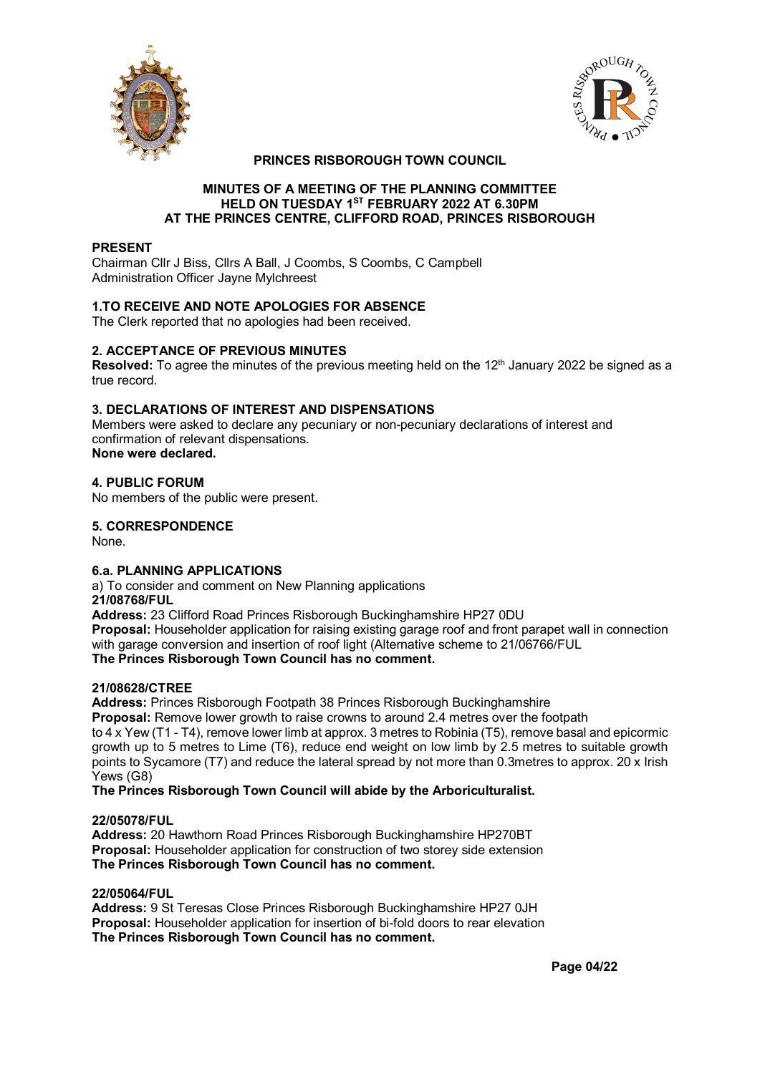



# **PRINCES RISBOROUGH TOWN COUNCIL**

#### **MINUTES OF A MEETING OF THE PLANNING COMMITTEE HELD ON TUESDAY 1ST FEBRUARY 2022 AT 6.30PM AT THE PRINCES CENTRE, CLIFFORD ROAD, PRINCES RISBOROUGH**

# **PRESENT**

Chairman Cllr J Biss, Cllrs A Ball, J Coombs, S Coombs, C Campbell Administration Officer Jayne Mylchreest

# **1.TO RECEIVE AND NOTE APOLOGIES FOR ABSENCE**

The Clerk reported that no apologies had been received.

# **2. ACCEPTANCE OF PREVIOUS MINUTES**

**Resolved:** To agree the minutes of the previous meeting held on the 12<sup>th</sup> January 2022 be signed as a true record.

# **3. DECLARATIONS OF INTEREST AND DISPENSATIONS**

Members were asked to declare any pecuniary or non-pecuniary declarations of interest and confirmation of relevant dispensations. **None were declared.**

# **4. PUBLIC FORUM**

No members of the public were present.

# **5. CORRESPONDENCE**

None.

# **6.a. PLANNING APPLICATIONS**

a) To consider and comment on New Planning applications

### **21/08768/FUL**

**Address:** 23 Clifford Road Princes Risborough Buckinghamshire HP27 0DU **Proposal:** Householder application for raising existing garage roof and front parapet wall in connection with garage conversion and insertion of roof light (Alternative scheme to 21/06766/FUL **The Princes Risborough Town Council has no comment.**

#### **21/08628/CTREE**

**Address:** Princes Risborough Footpath 38 Princes Risborough Buckinghamshire **Proposal:** Remove lower growth to raise crowns to around 2.4 metres over the footpath to 4 x Yew (T1 - T4), remove lower limb at approx. 3 metres to Robinia (T5), remove basal and epicormic growth up to 5 metres to Lime (T6), reduce end weight on low limb by 2.5 metres to suitable growth points to Sycamore (T7) and reduce the lateral spread by not more than 0.3metres to approx. 20 x Irish Yews (G8)

**The Princes Risborough Town Council will abide by the Arboriculturalist.**

# **22/05078/FUL**

**Address:** 20 Hawthorn Road Princes Risborough Buckinghamshire HP270BT **Proposal:** Householder application for construction of two storey side extension **The Princes Risborough Town Council has no comment.**

#### **22/05064/FUL**

**Address:** 9 St Teresas Close Princes Risborough Buckinghamshire HP27 0JH **Proposal:** Householder application for insertion of bi-fold doors to rear elevation **The Princes Risborough Town Council has no comment.**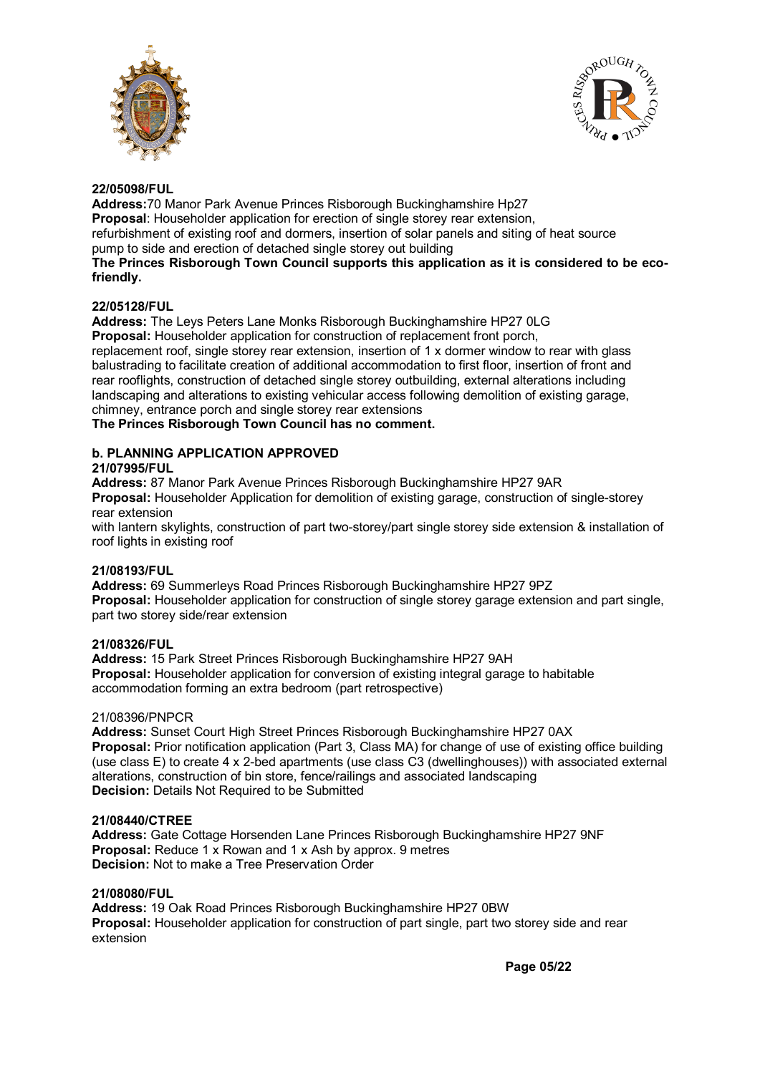



# **22/05098/FUL**

**Address:**70 Manor Park Avenue Princes Risborough Buckinghamshire Hp27 **Proposal:** Householder application for erection of single storey rear extension, refurbishment of existing roof and dormers, insertion of solar panels and siting of heat source pump to side and erection of detached single storey out building **The Princes Risborough Town Council supports this application as it is considered to be ecofriendly.**

# **22/05128/FUL**

**Address:** The Leys Peters Lane Monks Risborough Buckinghamshire HP27 0LG **Proposal:** Householder application for construction of replacement front porch, replacement roof, single storey rear extension, insertion of 1 x dormer window to rear with glass balustrading to facilitate creation of additional accommodation to first floor, insertion of front and rear rooflights, construction of detached single storey outbuilding, external alterations including landscaping and alterations to existing vehicular access following demolition of existing garage, chimney, entrance porch and single storey rear extensions

**The Princes Risborough Town Council has no comment.**

### **b. PLANNING APPLICATION APPROVED 21/07995/FUL**

**Address:** 87 Manor Park Avenue Princes Risborough Buckinghamshire HP27 9AR

**Proposal:** Householder Application for demolition of existing garage, construction of single-storey rear extension

with lantern skylights, construction of part two-storey/part single storey side extension & installation of roof lights in existing roof

# **21/08193/FUL**

**Address:** 69 Summerleys Road Princes Risborough Buckinghamshire HP27 9PZ **Proposal:** Householder application for construction of single storey garage extension and part single, part two storey side/rear extension

# **21/08326/FUL**

**Address:** 15 Park Street Princes Risborough Buckinghamshire HP27 9AH **Proposal:** Householder application for conversion of existing integral garage to habitable accommodation forming an extra bedroom (part retrospective)

# 21/08396/PNPCR

**Address:** Sunset Court High Street Princes Risborough Buckinghamshire HP27 0AX **Proposal:** Prior notification application (Part 3, Class MA) for change of use of existing office building (use class E) to create 4 x 2-bed apartments (use class C3 (dwellinghouses)) with associated external alterations, construction of bin store, fence/railings and associated landscaping **Decision:** Details Not Required to be Submitted

# **21/08440/CTREE**

**Address:** Gate Cottage Horsenden Lane Princes Risborough Buckinghamshire HP27 9NF **Proposal:** Reduce 1 x Rowan and 1 x Ash by approx. 9 metres **Decision:** Not to make a Tree Preservation Order

# **21/08080/FUL**

**Address:** 19 Oak Road Princes Risborough Buckinghamshire HP27 0BW **Proposal:** Householder application for construction of part single, part two storey side and rear extension